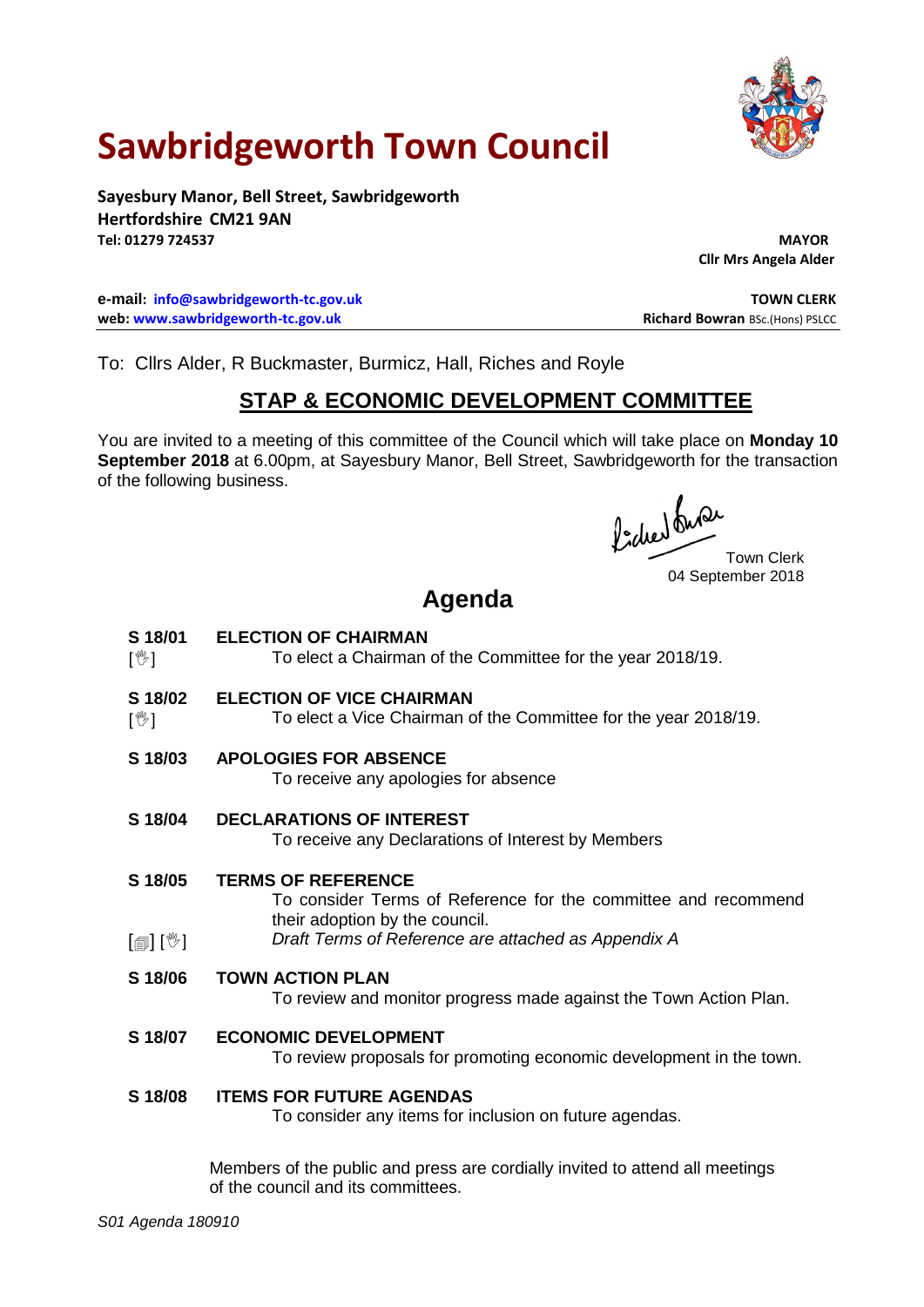

# **Sawbridgeworth Town Council**

**Sayesbury Manor, Bell Street, Sawbridgeworth Hertfordshire CM21 9AN Tel: 01279 724537 MAYOR**

**Cllr Mrs Angela Alder**

**e-mail: [info@sawbridgeworth-tc.gov.uk](mailto:info@sawbridgeworth-tc.gov.uk) TOWN CLERK web: www.sawbridgeworth-tc.gov.uk Richard Bowran BSc.(Hons) PSLCC Richard Bowran BSc.(Hons) PSLCC** 

To: Cllrs Alder, R Buckmaster, Burmicz, Hall, Riches and Royle

# **STAP & ECONOMIC DEVELOPMENT COMMITTEE**

You are invited to a meeting of this committee of the Council which will take place on **Monday 10 September 2018** at 6.00pm, at Sayesbury Manor, Bell Street, Sawbridgeworth for the transaction of the following business.

fided ture

04 September 2018

# **Agenda**

- **S 18/01 ELECTION OF CHAIRMAN**
- $\mathbb{N}$ To elect a Chairman of the Committee for the year 2018/19.
- **S 18/02 ELECTION OF VICE CHAIRMAN**
- $\mathbb{I}^{\mathbb{W}}$ ] To elect a Vice Chairman of the Committee for the year 2018/19.
- **S 18/03 APOLOGIES FOR ABSENCE**

To receive any apologies for absence

**S 18/04 DECLARATIONS OF INTEREST**

To receive any Declarations of Interest by Members

**S 18/05 TERMS OF REFERENCE**

To consider Terms of Reference for the committee and recommend their adoption by the council.

- $\lceil$  [ $\parallel$   $\mathbb{I}$   $\rceil$   $\mid$   $\mathbb{V}$   $\rceil$ *Draft Terms of Reference are attached as Appendix A*
- **S 18/06 TOWN ACTION PLAN**

To review and monitor progress made against the Town Action Plan.

**S 18/07 ECONOMIC DEVELOPMENT**

To review proposals for promoting economic development in the town.

## **S 18/08 ITEMS FOR FUTURE AGENDAS**

To consider any items for inclusion on future agendas.

Members of the public and press are cordially invited to attend all meetings of the council and its committees.